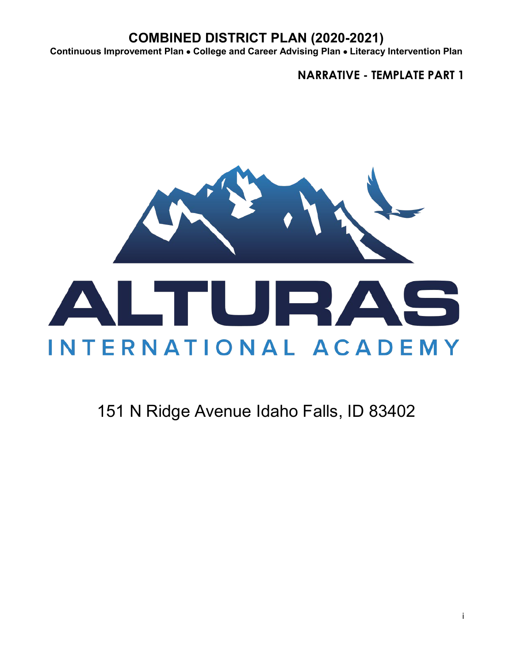**Continuous Improvement Plan** • **College and Career Advising Plan** • **Literacy Intervention Plan**

**NARRATIVE - TEMPLATE PART 1**



# 151 N Ridge Avenue Idaho Falls, ID 83402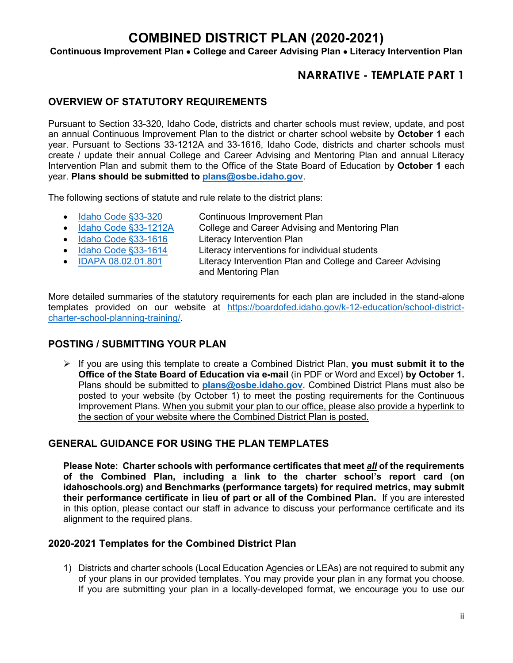**Continuous Improvement Plan** • **College and Career Advising Plan** • **Literacy Intervention Plan**

### **NARRATIVE - TEMPLATE PART 1**

### **OVERVIEW OF STATUTORY REQUIREMENTS**

Pursuant to Section 33-320, Idaho Code, districts and charter schools must review, update, and post an annual Continuous Improvement Plan to the district or charter school website by **October 1** each year. Pursuant to Sections 33-1212A and 33-1616, Idaho Code, districts and charter schools must create / update their annual College and Career Advising and Mentoring Plan and annual Literacy Intervention Plan and submit them to the Office of the State Board of Education by **October 1** each year. **Plans should be submitted to [plans@osbe.idaho.gov](mailto:plans@osbe.idaho.gov)**.

The following sections of statute and rule relate to the district plans:

- [Idaho Code](https://legislature.idaho.gov/statutesrules/idstat/Title33/T33CH3/SECT33-320/) §33-320 Continuous Improvement Plan
- [Idaho Code §33-1212A](https://legislature.idaho.gov/statutesrules/idstat/Title33/T33CH12/SECT33-1212A/) College and Career Advising and Mentoring Plan
- [Idaho Code §33-1616](https://legislature.idaho.gov/statutesrules/idstat/Title33/T33CH16/SECT33-1616/) Literacy Intervention Plan
- 
- 
- [Idaho Code §33-1614](https://legislature.idaho.gov/statutesrules/idstat/Title33/T33CH16/SECT33-1614/) Literacy interventions for individual students
- [IDAPA 08.02.01.801](https://adminrules.idaho.gov/rules/current/08/0201.pdf) Literacy Intervention Plan and College and Career Advising and Mentoring Plan

More detailed summaries of the statutory requirements for each plan are included in the stand-alone templates provided on our website at [https://boardofed.idaho.gov/k-12-education/school-district](https://boardofed.idaho.gov/k-12-education/school-district-charter-school-planning-training/)[charter-school-planning-training/.](https://boardofed.idaho.gov/k-12-education/school-district-charter-school-planning-training/)

### **POSTING / SUBMITTING YOUR PLAN**

 If you are using this template to create a Combined District Plan, **you must submit it to the Office of the State Board of Education via e-mail** (in PDF or Word and Excel) **by October 1.** Plans should be submitted to **[plans@osbe.idaho.gov](mailto:plans@osbe.idaho.gov)**. Combined District Plans must also be posted to your website (by October 1) to meet the posting requirements for the Continuous Improvement Plans. When you submit your plan to our office, please also provide a hyperlink to the section of your website where the Combined District Plan is posted.

### **GENERAL GUIDANCE FOR USING THE PLAN TEMPLATES**

**Please Note: Charter schools with performance certificates that meet** *all* **of the requirements of the Combined Plan, including a link to the charter school's report card (on idahoschools.org) and Benchmarks (performance targets) for required metrics, may submit their performance certificate in lieu of part or all of the Combined Plan.** If you are interested in this option, please contact our staff in advance to discuss your performance certificate and its alignment to the required plans.

#### **2020-2021 Templates for the Combined District Plan**

1) Districts and charter schools (Local Education Agencies or LEAs) are not required to submit any of your plans in our provided templates. You may provide your plan in any format you choose. If you are submitting your plan in a locally-developed format, we encourage you to use our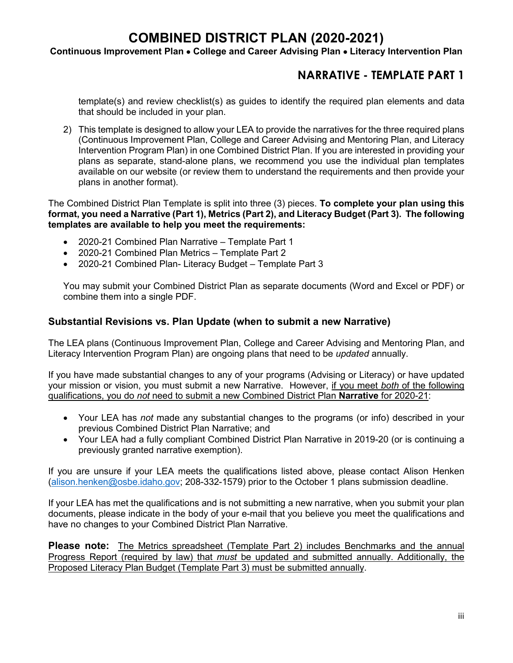#### **Continuous Improvement Plan** • **College and Career Advising Plan** • **Literacy Intervention Plan**

### **NARRATIVE - TEMPLATE PART 1**

template(s) and review checklist(s) as guides to identify the required plan elements and data that should be included in your plan.

2) This template is designed to allow your LEA to provide the narratives for the three required plans (Continuous Improvement Plan, College and Career Advising and Mentoring Plan, and Literacy Intervention Program Plan) in one Combined District Plan. If you are interested in providing your plans as separate, stand-alone plans, we recommend you use the individual plan templates available on our website (or review them to understand the requirements and then provide your plans in another format).

The Combined District Plan Template is split into three (3) pieces. **To complete your plan using this format, you need a Narrative (Part 1), Metrics (Part 2), and Literacy Budget (Part 3). The following templates are available to help you meet the requirements:**

- 2020-21 Combined Plan Narrative Template Part 1
- 2020-21 Combined Plan Metrics Template Part 2
- 2020-21 Combined Plan- Literacy Budget Template Part 3

You may submit your Combined District Plan as separate documents (Word and Excel or PDF) or combine them into a single PDF.

### **Substantial Revisions vs. Plan Update (when to submit a new Narrative)**

The LEA plans (Continuous Improvement Plan, College and Career Advising and Mentoring Plan, and Literacy Intervention Program Plan) are ongoing plans that need to be *updated* annually.

If you have made substantial changes to any of your programs (Advising or Literacy) or have updated your mission or vision, you must submit a new Narrative. However, if you meet *both* of the following qualifications, you do *not* need to submit a new Combined District Plan **Narrative** for 2020-21:

- Your LEA has *not* made any substantial changes to the programs (or info) described in your previous Combined District Plan Narrative; and
- Your LEA had a fully compliant Combined District Plan Narrative in 2019-20 (or is continuing a previously granted narrative exemption).

If you are unsure if your LEA meets the qualifications listed above, please contact Alison Henken [\(alison.henken@osbe.idaho.gov;](mailto:alison.henken@osbe.idaho.gov) 208-332-1579) prior to the October 1 plans submission deadline.

If your LEA has met the qualifications and is not submitting a new narrative, when you submit your plan documents, please indicate in the body of your e-mail that you believe you meet the qualifications and have no changes to your Combined District Plan Narrative.

**Please note:** The Metrics spreadsheet (Template Part 2) includes Benchmarks and the annual Progress Report (required by law) that *must* be updated and submitted annually. Additionally, the Proposed Literacy Plan Budget (Template Part 3) must be submitted annually.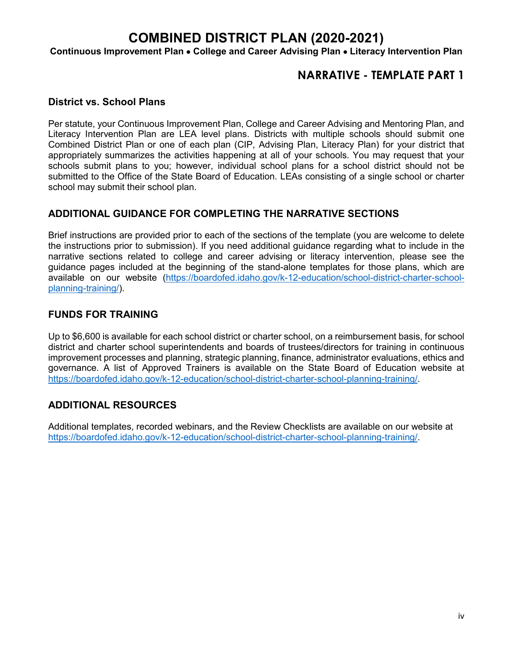**Continuous Improvement Plan** • **College and Career Advising Plan** • **Literacy Intervention Plan**

### **NARRATIVE - TEMPLATE PART 1**

### **District vs. School Plans**

Per statute, your Continuous Improvement Plan, College and Career Advising and Mentoring Plan, and Literacy Intervention Plan are LEA level plans. Districts with multiple schools should submit one Combined District Plan or one of each plan (CIP, Advising Plan, Literacy Plan) for your district that appropriately summarizes the activities happening at all of your schools. You may request that your schools submit plans to you; however, individual school plans for a school district should not be submitted to the Office of the State Board of Education. LEAs consisting of a single school or charter school may submit their school plan.

### **ADDITIONAL GUIDANCE FOR COMPLETING THE NARRATIVE SECTIONS**

Brief instructions are provided prior to each of the sections of the template (you are welcome to delete the instructions prior to submission). If you need additional guidance regarding what to include in the narrative sections related to college and career advising or literacy intervention, please see the guidance pages included at the beginning of the stand-alone templates for those plans, which are available on our website [\(https://boardofed.idaho.gov/k-12-education/school-district-charter-school](https://boardofed.idaho.gov/k-12-education/school-district-charter-school-planning-training/)[planning-training/\)](https://boardofed.idaho.gov/k-12-education/school-district-charter-school-planning-training/).

#### **FUNDS FOR TRAINING**

Up to \$6,600 is available for each school district or charter school, on a reimbursement basis, for school district and charter school superintendents and boards of trustees/directors for training in continuous improvement processes and planning, strategic planning, finance, administrator evaluations, ethics and governance. A list of Approved Trainers is available on the State Board of Education website at [https://boardofed.idaho.gov/k-12-education/school-district-charter-school-planning-training/.](https://boardofed.idaho.gov/k-12-education/school-district-charter-school-planning-training/)

### **ADDITIONAL RESOURCES**

Additional templates, recorded webinars, and the Review Checklists are available on our website at [https://boardofed.idaho.gov/k-12-education/school-district-charter-school-planning-training/.](https://boardofed.idaho.gov/k-12-education/school-district-charter-school-planning-training/)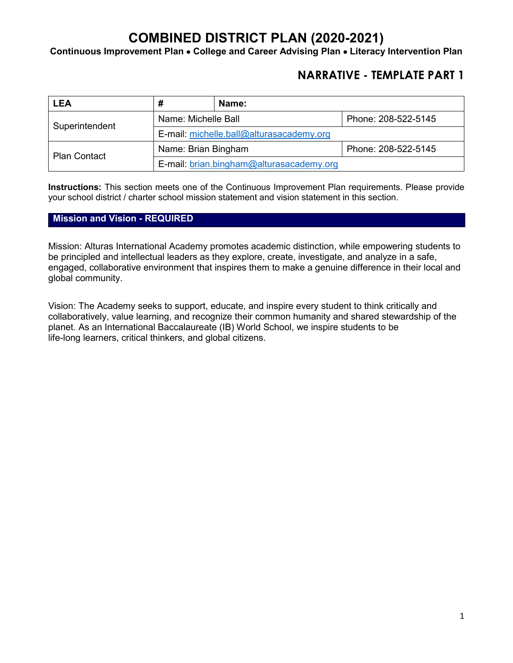**Continuous Improvement Plan** • **College and Career Advising Plan** • **Literacy Intervention Plan**

### **NARRATIVE - TEMPLATE PART 1**

| <b>LEA</b>          | #                                          | Name:               |  |  |
|---------------------|--------------------------------------------|---------------------|--|--|
| Superintendent      | Name: Michelle Ball                        | Phone: 208-522-5145 |  |  |
|                     | E-mail: michelle.ball@alturasacademy.org   |                     |  |  |
| <b>Plan Contact</b> | Name: Brian Bingham<br>Phone: 208-522-5145 |                     |  |  |
|                     | E-mail: brian.bingham@alturasacademy.org   |                     |  |  |

**Instructions:** This section meets one of the Continuous Improvement Plan requirements. Please provide your school district / charter school mission statement and vision statement in this section.

#### **Mission and Vision - REQUIRED**

Mission: Alturas International Academy promotes academic distinction, while empowering students to be principled and intellectual leaders as they explore, create, investigate, and analyze in a safe, engaged, collaborative environment that inspires them to make a genuine difference in their local and global community.

Vision: The Academy seeks to support, educate, and inspire every student to think critically and collaboratively, value learning, and recognize their common humanity and shared stewardship of the planet. As an International Baccalaureate (IB) World School, we inspire students to be life-long learners, critical thinkers, and global citizens.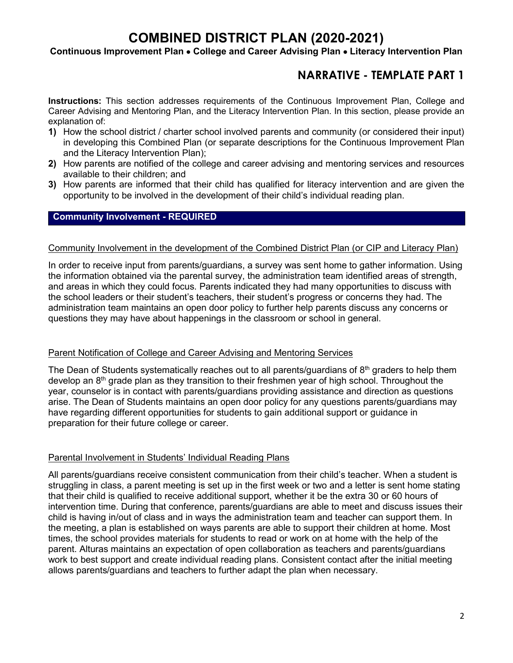#### **Continuous Improvement Plan** • **College and Career Advising Plan** • **Literacy Intervention Plan**

### **NARRATIVE - TEMPLATE PART 1**

**Instructions:** This section addresses requirements of the Continuous Improvement Plan, College and Career Advising and Mentoring Plan, and the Literacy Intervention Plan. In this section, please provide an explanation of:

- **1)** How the school district / charter school involved parents and community (or considered their input) in developing this Combined Plan (or separate descriptions for the Continuous Improvement Plan and the Literacy Intervention Plan);
- **2)** How parents are notified of the college and career advising and mentoring services and resources available to their children; and
- **3)** How parents are informed that their child has qualified for literacy intervention and are given the opportunity to be involved in the development of their child's individual reading plan.

#### **Community Involvement - REQUIRED**

#### Community Involvement in the development of the Combined District Plan (or CIP and Literacy Plan)

In order to receive input from parents/guardians, a survey was sent home to gather information. Using the information obtained via the parental survey, the administration team identified areas of strength, and areas in which they could focus. Parents indicated they had many opportunities to discuss with the school leaders or their student's teachers, their student's progress or concerns they had. The administration team maintains an open door policy to further help parents discuss any concerns or questions they may have about happenings in the classroom or school in general.

#### Parent Notification of College and Career Advising and Mentoring Services

The Dean of Students systematically reaches out to all parents/guardians of  $8<sup>th</sup>$  graders to help them develop an 8<sup>th</sup> grade plan as they transition to their freshmen year of high school. Throughout the year, counselor is in contact with parents/guardians providing assistance and direction as questions arise. The Dean of Students maintains an open door policy for any questions parents/guardians may have regarding different opportunities for students to gain additional support or guidance in preparation for their future college or career.

#### Parental Involvement in Students' Individual Reading Plans

All parents/guardians receive consistent communication from their child's teacher. When a student is struggling in class, a parent meeting is set up in the first week or two and a letter is sent home stating that their child is qualified to receive additional support, whether it be the extra 30 or 60 hours of intervention time. During that conference, parents/guardians are able to meet and discuss issues their child is having in/out of class and in ways the administration team and teacher can support them. In the meeting, a plan is established on ways parents are able to support their children at home. Most times, the school provides materials for students to read or work on at home with the help of the parent. Alturas maintains an expectation of open collaboration as teachers and parents/guardians work to best support and create individual reading plans. Consistent contact after the initial meeting allows parents/guardians and teachers to further adapt the plan when necessary.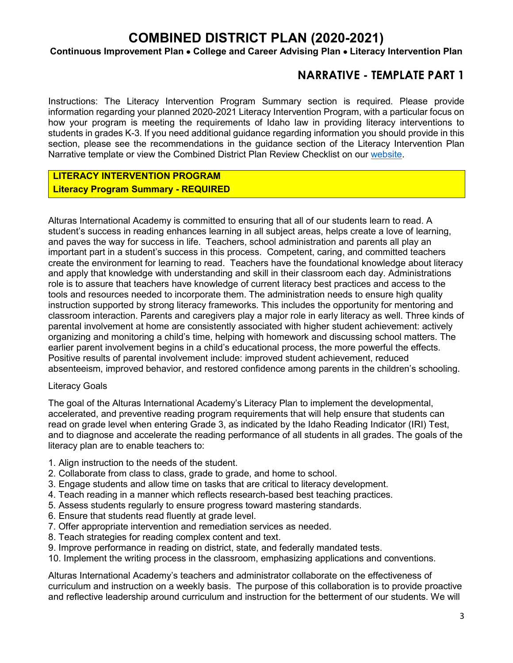#### **Continuous Improvement Plan** • **College and Career Advising Plan** • **Literacy Intervention Plan**

### **NARRATIVE - TEMPLATE PART 1**

Instructions: The Literacy Intervention Program Summary section is required. Please provide information regarding your planned 2020-2021 Literacy Intervention Program, with a particular focus on how your program is meeting the requirements of Idaho law in providing literacy interventions to students in grades K-3. If you need additional guidance regarding information you should provide in this section, please see the recommendations in the guidance section of the Literacy Intervention Plan Narrative template or view the Combined District Plan Review Checklist on our [website.](https://boardofed.idaho.gov/k-12-education/school-district-charter-school-planning-training/)

### **LITERACY INTERVENTION PROGRAM Literacy Program Summary - REQUIRED**

Alturas International Academy is committed to ensuring that all of our students learn to read. A student's success in reading enhances learning in all subject areas, helps create a love of learning, and paves the way for success in life. Teachers, school administration and parents all play an important part in a student's success in this process. Competent, caring, and committed teachers create the environment for learning to read. Teachers have the foundational knowledge about literacy and apply that knowledge with understanding and skill in their classroom each day. Administrations role is to assure that teachers have knowledge of current literacy best practices and access to the tools and resources needed to incorporate them. The administration needs to ensure high quality instruction supported by strong literacy frameworks. This includes the opportunity for mentoring and classroom interaction. Parents and caregivers play a major role in early literacy as well. Three kinds of parental involvement at home are consistently associated with higher student achievement: actively organizing and monitoring a child's time, helping with homework and discussing school matters. The earlier parent involvement begins in a child's educational process, the more powerful the effects. Positive results of parental involvement include: improved student achievement, reduced absenteeism, improved behavior, and restored confidence among parents in the children's schooling.

#### Literacy Goals

The goal of the Alturas International Academy's Literacy Plan to implement the developmental, accelerated, and preventive reading program requirements that will help ensure that students can read on grade level when entering Grade 3, as indicated by the Idaho Reading Indicator (IRI) Test, and to diagnose and accelerate the reading performance of all students in all grades. The goals of the literacy plan are to enable teachers to:

- 1. Align instruction to the needs of the student.
- 2. Collaborate from class to class, grade to grade, and home to school.
- 3. Engage students and allow time on tasks that are critical to literacy development.
- 4. Teach reading in a manner which reflects research-based best teaching practices.
- 5. Assess students regularly to ensure progress toward mastering standards.
- 6. Ensure that students read fluently at grade level.
- 7. Offer appropriate intervention and remediation services as needed.
- 8. Teach strategies for reading complex content and text.
- 9. Improve performance in reading on district, state, and federally mandated tests.
- 10. Implement the writing process in the classroom, emphasizing applications and conventions.

Alturas International Academy's teachers and administrator collaborate on the effectiveness of curriculum and instruction on a weekly basis. The purpose of this collaboration is to provide proactive and reflective leadership around curriculum and instruction for the betterment of our students. We will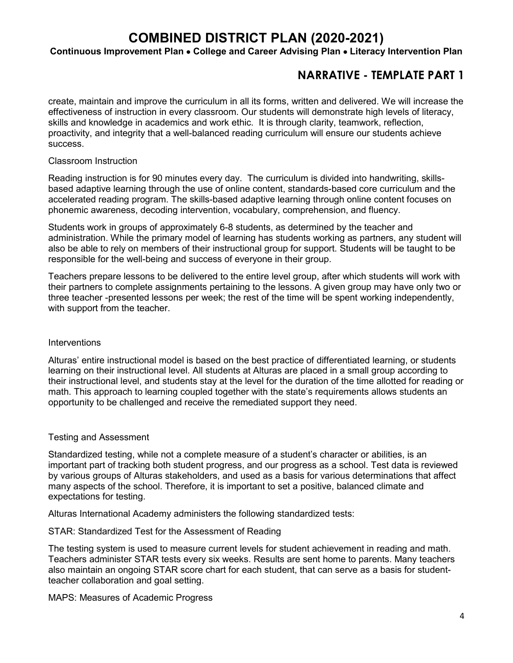#### **Continuous Improvement Plan** • **College and Career Advising Plan** • **Literacy Intervention Plan**

### **NARRATIVE - TEMPLATE PART 1**

create, maintain and improve the curriculum in all its forms, written and delivered. We will increase the effectiveness of instruction in every classroom. Our students will demonstrate high levels of literacy, skills and knowledge in academics and work ethic. It is through clarity, teamwork, reflection, proactivity, and integrity that a well-balanced reading curriculum will ensure our students achieve success.

#### Classroom Instruction

Reading instruction is for 90 minutes every day. The curriculum is divided into handwriting, skillsbased adaptive learning through the use of online content, standards-based core curriculum and the accelerated reading program. The skills-based adaptive learning through online content focuses on phonemic awareness, decoding intervention, vocabulary, comprehension, and fluency.

Students work in groups of approximately 6-8 students, as determined by the teacher and administration. While the primary model of learning has students working as partners, any student will also be able to rely on members of their instructional group for support. Students will be taught to be responsible for the well-being and success of everyone in their group.

Teachers prepare lessons to be delivered to the entire level group, after which students will work with their partners to complete assignments pertaining to the lessons. A given group may have only two or three teacher -presented lessons per week; the rest of the time will be spent working independently, with support from the teacher.

#### **Interventions**

Alturas' entire instructional model is based on the best practice of differentiated learning, or students learning on their instructional level. All students at Alturas are placed in a small group according to their instructional level, and students stay at the level for the duration of the time allotted for reading or math. This approach to learning coupled together with the state's requirements allows students an opportunity to be challenged and receive the remediated support they need.

#### Testing and Assessment

Standardized testing, while not a complete measure of a student's character or abilities, is an important part of tracking both student progress, and our progress as a school. Test data is reviewed by various groups of Alturas stakeholders, and used as a basis for various determinations that affect many aspects of the school. Therefore, it is important to set a positive, balanced climate and expectations for testing.

Alturas International Academy administers the following standardized tests:

#### STAR: Standardized Test for the Assessment of Reading

The testing system is used to measure current levels for student achievement in reading and math. Teachers administer STAR tests every six weeks. Results are sent home to parents. Many teachers also maintain an ongoing STAR score chart for each student, that can serve as a basis for studentteacher collaboration and goal setting.

MAPS: Measures of Academic Progress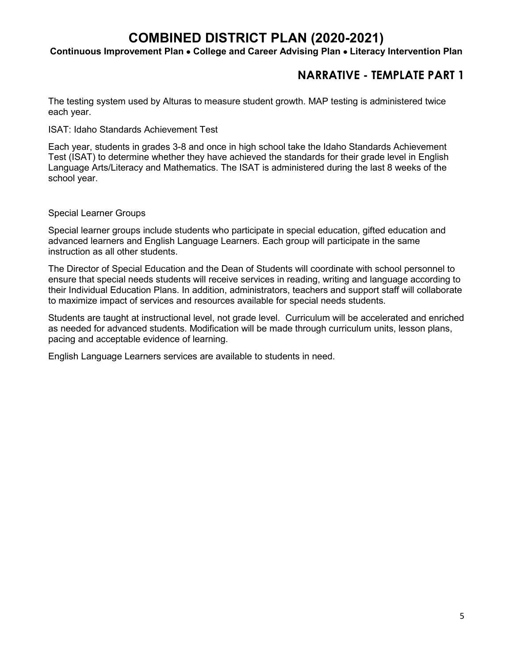#### **Continuous Improvement Plan** • **College and Career Advising Plan** • **Literacy Intervention Plan**

### **NARRATIVE - TEMPLATE PART 1**

The testing system used by Alturas to measure student growth. MAP testing is administered twice each year.

ISAT: Idaho Standards Achievement Test

Each year, students in grades 3-8 and once in high school take the Idaho Standards Achievement Test (ISAT) to determine whether they have achieved the standards for their grade level in English Language Arts/Literacy and Mathematics. The ISAT is administered during the last 8 weeks of the school year.

Special Learner Groups

Special learner groups include students who participate in special education, gifted education and advanced learners and English Language Learners. Each group will participate in the same instruction as all other students.

The Director of Special Education and the Dean of Students will coordinate with school personnel to ensure that special needs students will receive services in reading, writing and language according to their Individual Education Plans. In addition, administrators, teachers and support staff will collaborate to maximize impact of services and resources available for special needs students.

Students are taught at instructional level, not grade level. Curriculum will be accelerated and enriched as needed for advanced students. Modification will be made through curriculum units, lesson plans, pacing and acceptable evidence of learning.

English Language Learners services are available to students in need.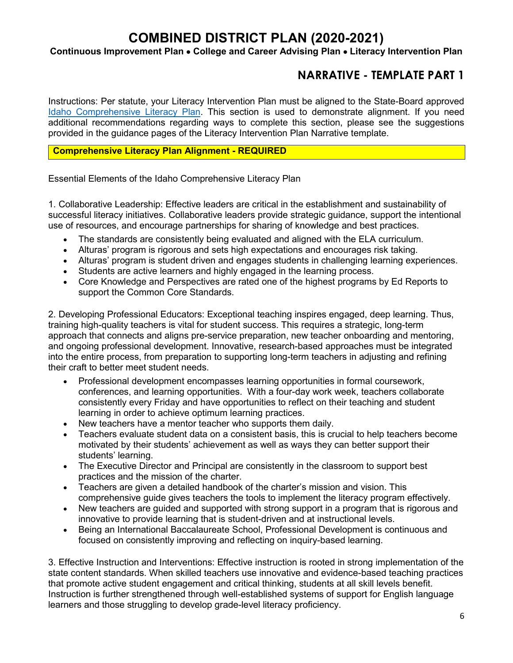### **Continuous Improvement Plan** • **College and Career Advising Plan** • **Literacy Intervention Plan**

### **NARRATIVE - TEMPLATE PART 1**

Instructions: Per statute, your Literacy Intervention Plan must be aligned to the State-Board approved [Idaho Comprehensive Literacy Plan.](https://boardofed.idaho.gov/resources/comprehensive-literacy-plan/) This section is used to demonstrate alignment. If you need additional recommendations regarding ways to complete this section, please see the suggestions provided in the guidance pages of the Literacy Intervention Plan Narrative template.

#### **Comprehensive Literacy Plan Alignment - REQUIRED**

Essential Elements of the Idaho Comprehensive Literacy Plan

1. Collaborative Leadership: Effective leaders are critical in the establishment and sustainability of successful literacy initiatives. Collaborative leaders provide strategic guidance, support the intentional use of resources, and encourage partnerships for sharing of knowledge and best practices.

- The standards are consistently being evaluated and aligned with the ELA curriculum.
- Alturas' program is rigorous and sets high expectations and encourages risk taking.
- Alturas' program is student driven and engages students in challenging learning experiences.
- Students are active learners and highly engaged in the learning process.
- Core Knowledge and Perspectives are rated one of the highest programs by Ed Reports to support the Common Core Standards.

2. Developing Professional Educators: Exceptional teaching inspires engaged, deep learning. Thus, training high-quality teachers is vital for student success. This requires a strategic, long-term approach that connects and aligns pre-service preparation, new teacher onboarding and mentoring, and ongoing professional development. Innovative, research-based approaches must be integrated into the entire process, from preparation to supporting long-term teachers in adjusting and refining their craft to better meet student needs.

- Professional development encompasses learning opportunities in formal coursework, conferences, and learning opportunities. With a four-day work week, teachers collaborate consistently every Friday and have opportunities to reflect on their teaching and student learning in order to achieve optimum learning practices.
- New teachers have a mentor teacher who supports them daily.
- Teachers evaluate student data on a consistent basis, this is crucial to help teachers become motivated by their students' achievement as well as ways they can better support their students' learning.
- The Executive Director and Principal are consistently in the classroom to support best practices and the mission of the charter.
- Teachers are given a detailed handbook of the charter's mission and vision. This comprehensive guide gives teachers the tools to implement the literacy program effectively.
- New teachers are guided and supported with strong support in a program that is rigorous and innovative to provide learning that is student-driven and at instructional levels.
- Being an International Baccalaureate School, Professional Development is continuous and focused on consistently improving and reflecting on inquiry-based learning.

3. Effective Instruction and Interventions: Effective instruction is rooted in strong implementation of the state content standards. When skilled teachers use innovative and evidence-based teaching practices that promote active student engagement and critical thinking, students at all skill levels benefit. Instruction is further strengthened through well-established systems of support for English language learners and those struggling to develop grade-level literacy proficiency.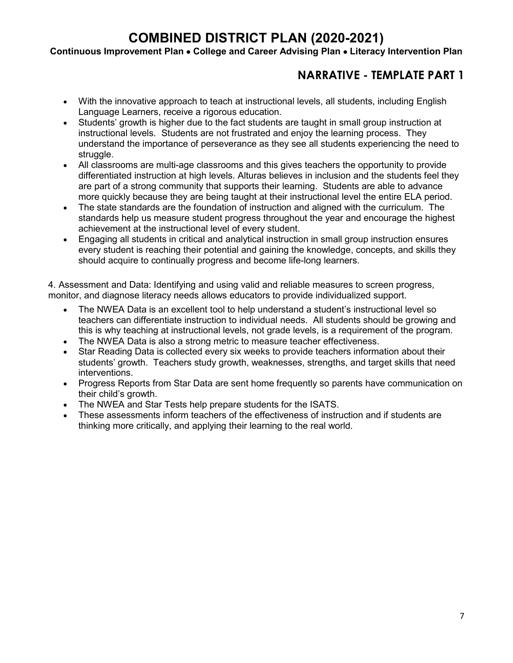### **Continuous Improvement Plan** • **College and Career Advising Plan** • **Literacy Intervention Plan**

### **NARRATIVE - TEMPLATE PART 1**

- With the innovative approach to teach at instructional levels, all students, including English Language Learners, receive a rigorous education.
- Students' growth is higher due to the fact students are taught in small group instruction at instructional levels. Students are not frustrated and enjoy the learning process. They understand the importance of perseverance as they see all students experiencing the need to struggle.
- All classrooms are multi-age classrooms and this gives teachers the opportunity to provide differentiated instruction at high levels. Alturas believes in inclusion and the students feel they are part of a strong community that supports their learning. Students are able to advance more quickly because they are being taught at their instructional level the entire ELA period.
- The state standards are the foundation of instruction and aligned with the curriculum. The standards help us measure student progress throughout the year and encourage the highest achievement at the instructional level of every student.
- Engaging all students in critical and analytical instruction in small group instruction ensures every student is reaching their potential and gaining the knowledge, concepts, and skills they should acquire to continually progress and become life-long learners.

4. Assessment and Data: Identifying and using valid and reliable measures to screen progress, monitor, and diagnose literacy needs allows educators to provide individualized support.

- The NWEA Data is an excellent tool to help understand a student's instructional level so teachers can differentiate instruction to individual needs. All students should be growing and this is why teaching at instructional levels, not grade levels, is a requirement of the program.
- The NWEA Data is also a strong metric to measure teacher effectiveness.
- Star Reading Data is collected every six weeks to provide teachers information about their students' growth. Teachers study growth, weaknesses, strengths, and target skills that need interventions.
- Progress Reports from Star Data are sent home frequently so parents have communication on their child's growth.
- The NWEA and Star Tests help prepare students for the ISATS.
- These assessments inform teachers of the effectiveness of instruction and if students are thinking more critically, and applying their learning to the real world.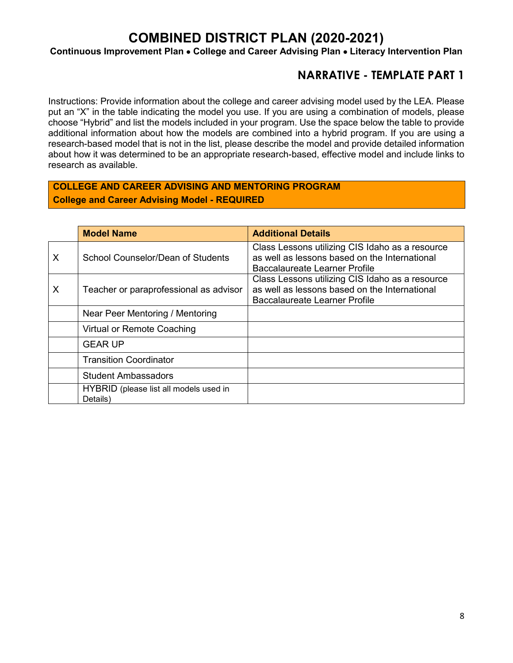**Continuous Improvement Plan** • **College and Career Advising Plan** • **Literacy Intervention Plan**

### **NARRATIVE - TEMPLATE PART 1**

Instructions: Provide information about the college and career advising model used by the LEA. Please put an "X" in the table indicating the model you use. If you are using a combination of models, please choose "Hybrid" and list the models included in your program. Use the space below the table to provide additional information about how the models are combined into a hybrid program. If you are using a research-based model that is not in the list, please describe the model and provide detailed information about how it was determined to be an appropriate research-based, effective model and include links to research as available.

### **COLLEGE AND CAREER ADVISING AND MENTORING PROGRAM College and Career Advising Model - REQUIRED**

|   | <b>Model Name</b>                                  | <b>Additional Details</b>                                                                                                         |
|---|----------------------------------------------------|-----------------------------------------------------------------------------------------------------------------------------------|
| X | School Counselor/Dean of Students                  | Class Lessons utilizing CIS Idaho as a resource<br>as well as lessons based on the International<br>Baccalaureate Learner Profile |
| X | Teacher or paraprofessional as advisor             | Class Lessons utilizing CIS Idaho as a resource<br>as well as lessons based on the International<br>Baccalaureate Learner Profile |
|   | Near Peer Mentoring / Mentoring                    |                                                                                                                                   |
|   | Virtual or Remote Coaching                         |                                                                                                                                   |
|   | <b>GEAR UP</b>                                     |                                                                                                                                   |
|   | <b>Transition Coordinator</b>                      |                                                                                                                                   |
|   | <b>Student Ambassadors</b>                         |                                                                                                                                   |
|   | HYBRID (please list all models used in<br>Details) |                                                                                                                                   |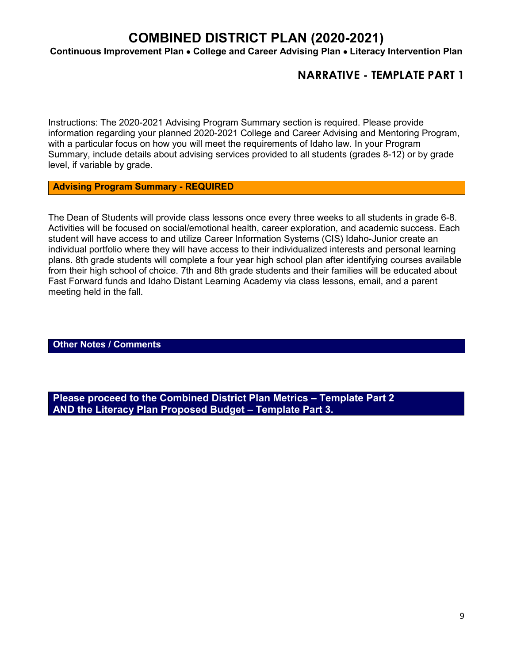**Continuous Improvement Plan** • **College and Career Advising Plan** • **Literacy Intervention Plan**

### **NARRATIVE - TEMPLATE PART 1**

Instructions: The 2020-2021 Advising Program Summary section is required. Please provide information regarding your planned 2020-2021 College and Career Advising and Mentoring Program, with a particular focus on how you will meet the requirements of Idaho law. In your Program Summary, include details about advising services provided to all students (grades 8-12) or by grade level, if variable by grade.

**Advising Program Summary - REQUIRED**

The Dean of Students will provide class lessons once every three weeks to all students in grade 6-8. Activities will be focused on social/emotional health, career exploration, and academic success. Each student will have access to and utilize Career Information Systems (CIS) Idaho-Junior create an individual portfolio where they will have access to their individualized interests and personal learning plans. 8th grade students will complete a four year high school plan after identifying courses available from their high school of choice. 7th and 8th grade students and their families will be educated about Fast Forward funds and Idaho Distant Learning Academy via class lessons, email, and a parent meeting held in the fall.

**Other Notes / Comments**

**Please proceed to the Combined District Plan Metrics – Template Part 2 AND the Literacy Plan Proposed Budget – Template Part 3.**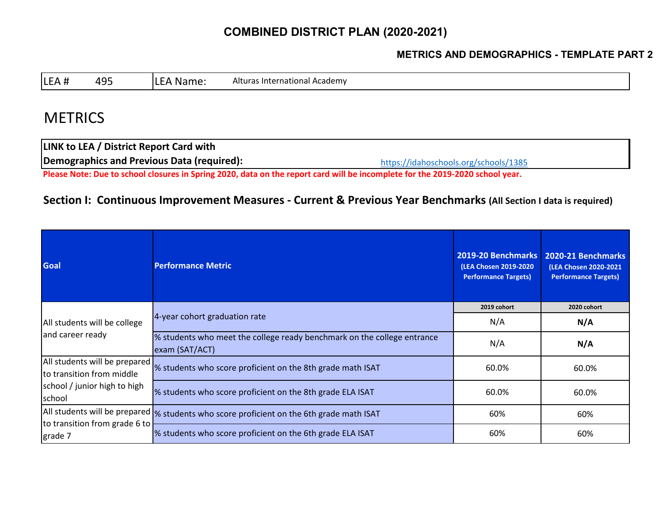### **METRICS AND DEMOGRAPHICS - TEMPLATE PART 2**

LEA # 495 LEA Name: Alturas International Academy

## **METRICS**

<https://idahoschools.org/schools/1385> **LINK to LEA / District Report Card with Demographics and Previous Data (required): Please Note: Due to school closures in Spring 2020, data on the report card will be incomplete for the 2019-2020 school year.**

### **Section I: Continuous Improvement Measures - Current & Previous Year Benchmarks (All Section I data is required)**

| <b>Goal</b>                                                | <b>Performance Metric</b>                                                                 | 2019-20 Benchmarks<br>(LEA Chosen 2019-2020)<br><b>Performance Targets)</b> | 2020-21 Benchmarks<br>(LEA Chosen 2020-2021<br><b>Performance Targets)</b> |
|------------------------------------------------------------|-------------------------------------------------------------------------------------------|-----------------------------------------------------------------------------|----------------------------------------------------------------------------|
|                                                            |                                                                                           | 2019 cohort                                                                 | 2020 cohort                                                                |
| All students will be college<br>and career ready           | 4-year cohort graduation rate                                                             | N/A                                                                         | N/A                                                                        |
|                                                            | % students who meet the college ready benchmark on the college entrance<br>exam (SAT/ACT) | N/A                                                                         | N/A                                                                        |
| All students will be prepared<br>to transition from middle | % students who score proficient on the 8th grade math ISAT                                | 60.0%                                                                       | 60.0%                                                                      |
| school / junior high to high<br>school                     | % students who score proficient on the 8th grade ELA ISAT                                 | 60.0%                                                                       | 60.0%                                                                      |
|                                                            | All students will be prepared  % students who score proficient on the 6th grade math ISAT | 60%                                                                         | 60%                                                                        |
| to transition from grade 6 to<br>grade 7                   | % students who score proficient on the 6th grade ELA ISAT                                 | 60%                                                                         | 60%                                                                        |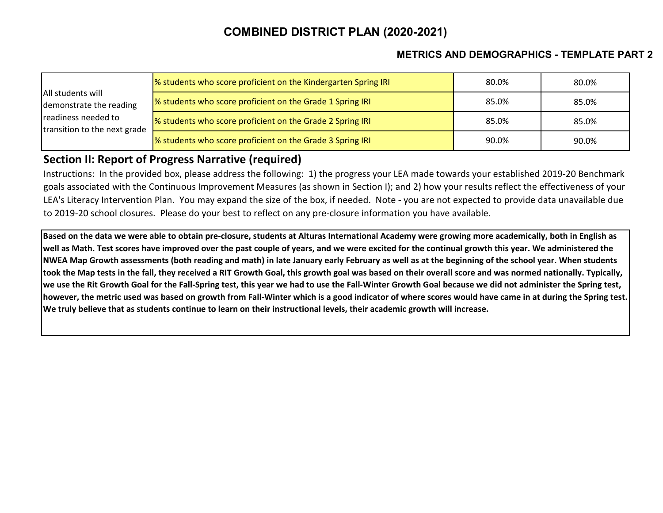### **METRICS AND DEMOGRAPHICS - TEMPLATE PART 2**

|                                                     | % students who score proficient on the Kindergarten Spring IRI | 80.0% | 80.0% |
|-----------------------------------------------------|----------------------------------------------------------------|-------|-------|
| All students will<br>demonstrate the reading        | % students who score proficient on the Grade 1 Spring IRI      | 85.0% | 85.0% |
| readiness needed to<br>transition to the next grade | % students who score proficient on the Grade 2 Spring IRI      | 85.0% | 85.0% |
|                                                     | % students who score proficient on the Grade 3 Spring IRI      | 90.0% | 90.0% |

### **Section II: Report of Progress Narrative (required)**

Instructions: In the provided box, please address the following: 1) the progress your LEA made towards your established 2019-20 Benchmark goals associated with the Continuous Improvement Measures (as shown in Section I); and 2) how your results reflect the effectiveness of your LEA's Literacy Intervention Plan. You may expand the size of the box, if needed. Note - you are not expected to provide data unavailable due to 2019-20 school closures. Please do your best to reflect on any pre-closure information you have available.

**Based on the data we were able to obtain pre-closure, students at Alturas International Academy were growing more academically, both in English as well as Math. Test scores have improved over the past couple of years, and we were excited for the continual growth this year. We administered the NWEA Map Growth assessments (both reading and math) in late January early February as well as at the beginning of the school year. When students took the Map tests in the fall, they received a RIT Growth Goal, this growth goal was based on their overall score and was normed nationally. Typically, we use the Rit Growth Goal for the Fall-Spring test, this year we had to use the Fall-Winter Growth Goal because we did not administer the Spring test, however, the metric used was based on growth from Fall-Winter which is a good indicator of where scores would have came in at during the Spring test. We truly believe that as students continue to learn on their instructional levels, their academic growth will increase.**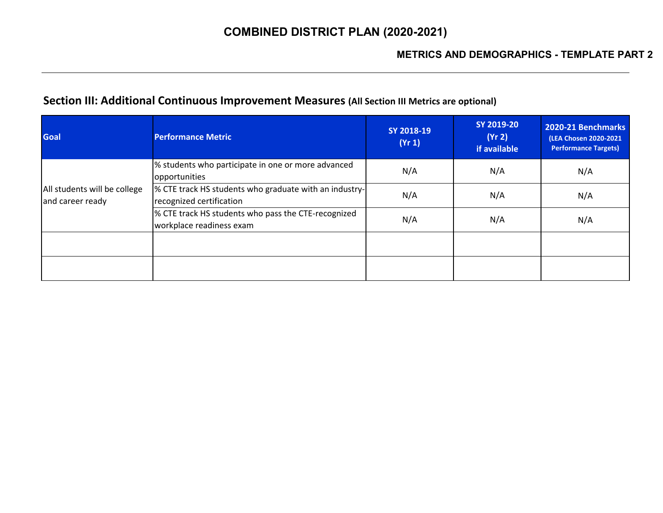## **Section III: Additional Continuous Improvement Measures (All Section III Metrics are optional)**

| <b>Goal</b>                                      | <b>Performance Metric</b>                                                          | SY 2018-19<br>(Yr 1) | SY 2019-20<br>(Yr 2)<br>if available | 2020-21 Benchmarks<br>(LEA Chosen 2020-2021<br><b>Performance Targets)</b> |
|--------------------------------------------------|------------------------------------------------------------------------------------|----------------------|--------------------------------------|----------------------------------------------------------------------------|
|                                                  | % students who participate in one or more advanced<br>opportunities                | N/A                  | N/A                                  | N/A                                                                        |
| All students will be college<br>and career ready | % CTE track HS students who graduate with an industry-<br>recognized certification | N/A                  | N/A                                  | N/A                                                                        |
|                                                  | % CTE track HS students who pass the CTE-recognized<br>workplace readiness exam    | N/A                  | N/A                                  | N/A                                                                        |
|                                                  |                                                                                    |                      |                                      |                                                                            |
|                                                  |                                                                                    |                      |                                      |                                                                            |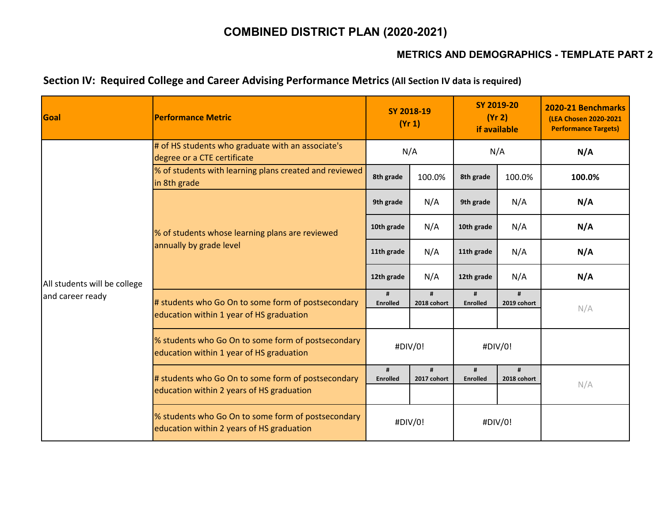### **METRICS AND DEMOGRAPHICS - TEMPLATE PART 2**

### **Section IV: Required College and Career Advising Performance Metrics (All Section IV data is required)**

| Goal                         | <b>Performance Metric</b>                                                                       | SY 2018-19<br>(Yr 1) |                         | SY 2019-20<br>(Yr 2)<br>if available |                  | 2020-21 Benchmarks<br>(LEA Chosen 2020-2021<br><b>Performance Targets)</b> |
|------------------------------|-------------------------------------------------------------------------------------------------|----------------------|-------------------------|--------------------------------------|------------------|----------------------------------------------------------------------------|
|                              | # of HS students who graduate with an associate's<br>degree or a CTE certificate                | N/A                  |                         | N/A                                  |                  | N/A                                                                        |
|                              | % of students with learning plans created and reviewed<br>in 8th grade                          | 8th grade            | 100.0%                  | 8th grade                            | 100.0%           | 100.0%                                                                     |
|                              | % of students whose learning plans are reviewed<br>annually by grade level                      | 9th grade            | N/A                     | 9th grade                            | N/A              | N/A                                                                        |
|                              |                                                                                                 | 10th grade           | N/A                     | 10th grade                           | N/A              | N/A                                                                        |
| All students will be college |                                                                                                 | 11th grade           | N/A                     | 11th grade                           | N/A              | N/A                                                                        |
|                              |                                                                                                 | 12th grade           | N/A                     | 12th grade                           | N/A              | N/A                                                                        |
| and career ready             | # students who Go On to some form of postsecondary<br>education within 1 year of HS graduation  | #<br>Enrolled        | $\bf{H}$<br>2018 cohort | #<br><b>Enrolled</b>                 | #<br>2019 cohort | N/A                                                                        |
|                              |                                                                                                 |                      |                         |                                      |                  |                                                                            |
|                              | % students who Go On to some form of postsecondary<br>education within 1 year of HS graduation  | #DIV/0!              |                         | #DIV/0!                              |                  |                                                                            |
|                              | # students who Go On to some form of postsecondary<br>education within 2 years of HS graduation | #<br>Enrolled        | 2017 cohort             | #<br><b>Enrolled</b>                 | #<br>2018 cohort | N/A                                                                        |
|                              | % students who Go On to some form of postsecondary<br>education within 2 years of HS graduation | #DIV/0!              |                         | #DIV/0!                              |                  |                                                                            |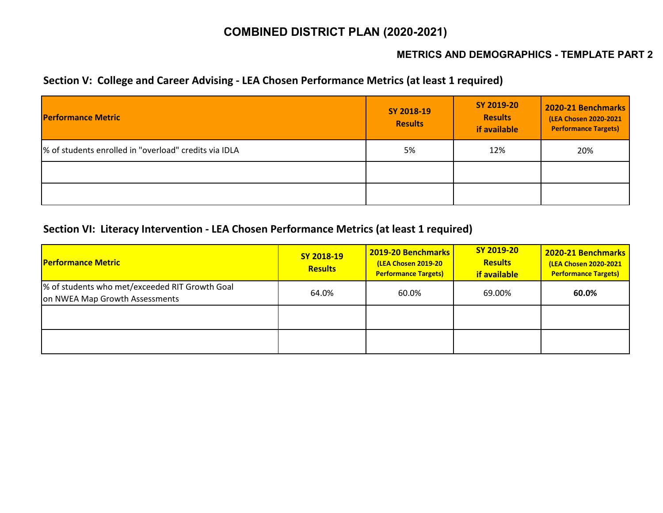### **METRICS AND DEMOGRAPHICS - TEMPLATE PART 2**

### **Section V: College and Career Advising - LEA Chosen Performance Metrics (at least 1 required)**

| <b>Performance Metric</b>                             | SY 2018-19<br><b>Results</b> | SY 2019-20<br><b>Results</b><br>if available | 2020-21 Benchmarks<br>(LEA Chosen 2020-2021<br><b>Performance Targets)</b> |
|-------------------------------------------------------|------------------------------|----------------------------------------------|----------------------------------------------------------------------------|
| % of students enrolled in "overload" credits via IDLA | 5%                           | 12%                                          | 20%                                                                        |
|                                                       |                              |                                              |                                                                            |
|                                                       |                              |                                              |                                                                            |

### **Section VI: Literacy Intervention - LEA Chosen Performance Metrics (at least 1 required)**

| <b>Performance Metric</b>                                                        | SY 2018-19<br><b>Results</b> | <b>2019-20 Benchmarks</b><br>(LEA Chosen 2019-20<br><b>Performance Targets)</b> | SY 2019-20<br><b>Results</b><br><b>if available</b> | 2020-21 Benchmarks<br>(LEA Chosen 2020-2021<br><b>Performance Targets)</b> |
|----------------------------------------------------------------------------------|------------------------------|---------------------------------------------------------------------------------|-----------------------------------------------------|----------------------------------------------------------------------------|
| % of students who met/exceeded RIT Growth Goal<br>on NWEA Map Growth Assessments | 64.0%                        | 60.0%                                                                           | 69.00%                                              | 60.0%                                                                      |
|                                                                                  |                              |                                                                                 |                                                     |                                                                            |
|                                                                                  |                              |                                                                                 |                                                     |                                                                            |